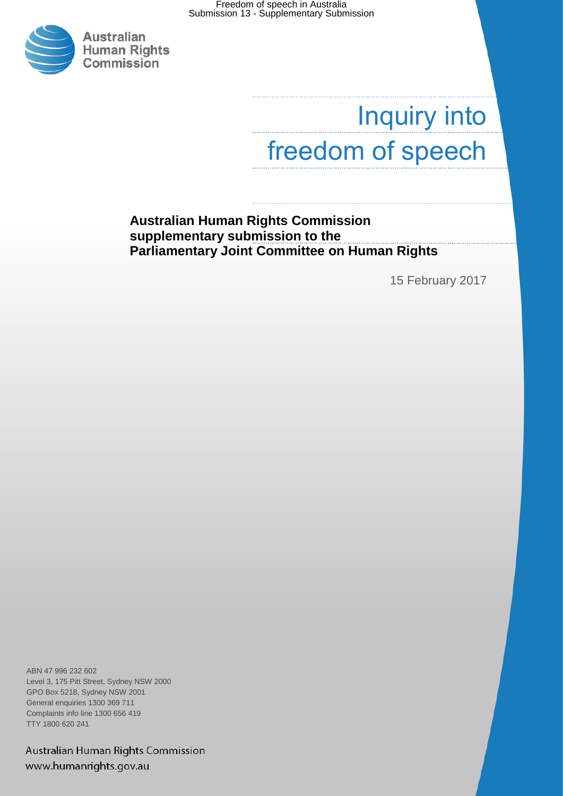Freedom of speech in Australia Submission 13 - Supplementary Submission



# Inquiry into freedom of speech

## **Australian Human Rights Commission supplementary submission to the Parliamentary Joint Committee on Human Rights**

15 February 2017

ABN 47 996 232 602 Level 3, 175 Pitt Street, Sydney NSW 2000 GPO Box 5218, Sydney NSW 2001 General enquiries 1300 369 711 Complaints info line 1300 656 419 TTY 1800 620 241

Australian Human Rights Commission www.humanrights.gov.au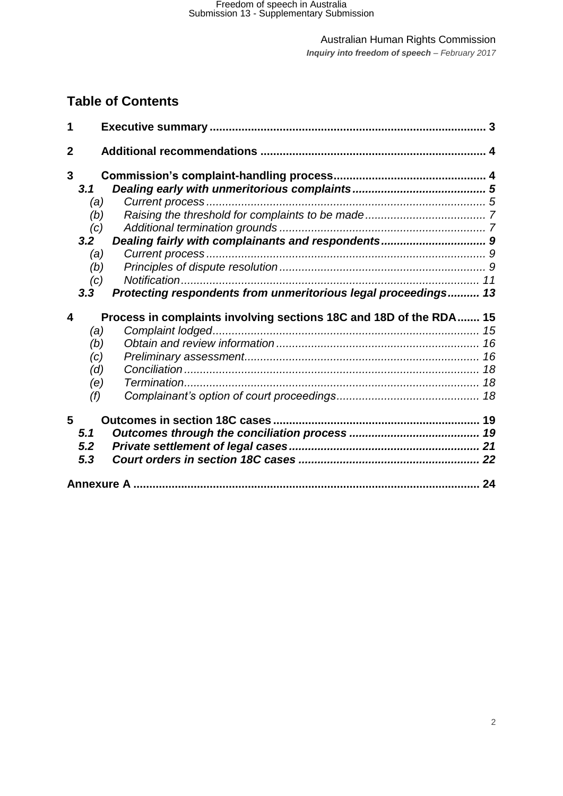## **Table of Contents**

| 1              |     |                                                                    |  |
|----------------|-----|--------------------------------------------------------------------|--|
| $\overline{2}$ |     |                                                                    |  |
| 3              |     |                                                                    |  |
|                | 3.1 |                                                                    |  |
|                | (a) |                                                                    |  |
|                | (b) |                                                                    |  |
|                | (c) |                                                                    |  |
|                | 3.2 | Dealing fairly with complainants and respondents 9                 |  |
|                | (a) |                                                                    |  |
|                | (b) |                                                                    |  |
|                | (c) |                                                                    |  |
|                | 3.3 | Protecting respondents from unmeritorious legal proceedings 13     |  |
|                |     |                                                                    |  |
| 4              |     | Process in complaints involving sections 18C and 18D of the RDA 15 |  |
|                | (a) | Complaint lodged                                                   |  |
|                | (b) |                                                                    |  |
|                | (c) |                                                                    |  |
|                | (d) |                                                                    |  |
|                | (e) |                                                                    |  |
|                | (f) |                                                                    |  |
| 5              |     |                                                                    |  |
|                | 5.1 |                                                                    |  |
|                | 5.2 |                                                                    |  |
|                | 5,3 |                                                                    |  |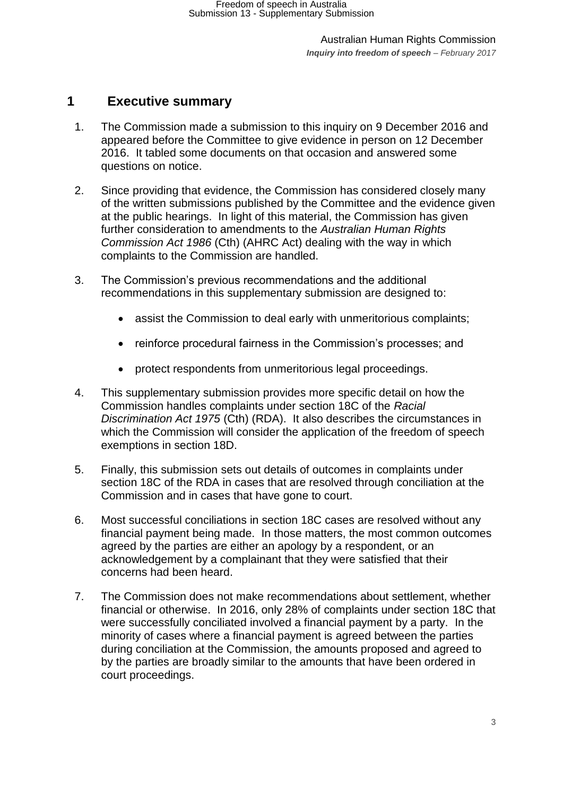## <span id="page-2-0"></span>**1 Executive summary**

- 1. The Commission made a submission to this inquiry on 9 December 2016 and appeared before the Committee to give evidence in person on 12 December 2016. It tabled some documents on that occasion and answered some questions on notice.
- 2. Since providing that evidence, the Commission has considered closely many of the written submissions published by the Committee and the evidence given at the public hearings. In light of this material, the Commission has given further consideration to amendments to the *Australian Human Rights Commission Act 1986* (Cth) (AHRC Act) dealing with the way in which complaints to the Commission are handled.
- 3. The Commission's previous recommendations and the additional recommendations in this supplementary submission are designed to:
	- assist the Commission to deal early with unmeritorious complaints;
	- reinforce procedural fairness in the Commission's processes; and
	- protect respondents from unmeritorious legal proceedings.
- 4. This supplementary submission provides more specific detail on how the Commission handles complaints under section 18C of the *Racial Discrimination Act 1975* (Cth) (RDA). It also describes the circumstances in which the Commission will consider the application of the freedom of speech exemptions in section 18D.
- 5. Finally, this submission sets out details of outcomes in complaints under section 18C of the RDA in cases that are resolved through conciliation at the Commission and in cases that have gone to court.
- 6. Most successful conciliations in section 18C cases are resolved without any financial payment being made. In those matters, the most common outcomes agreed by the parties are either an apology by a respondent, or an acknowledgement by a complainant that they were satisfied that their concerns had been heard.
- 7. The Commission does not make recommendations about settlement, whether financial or otherwise. In 2016, only 28% of complaints under section 18C that were successfully conciliated involved a financial payment by a party. In the minority of cases where a financial payment is agreed between the parties during conciliation at the Commission, the amounts proposed and agreed to by the parties are broadly similar to the amounts that have been ordered in court proceedings.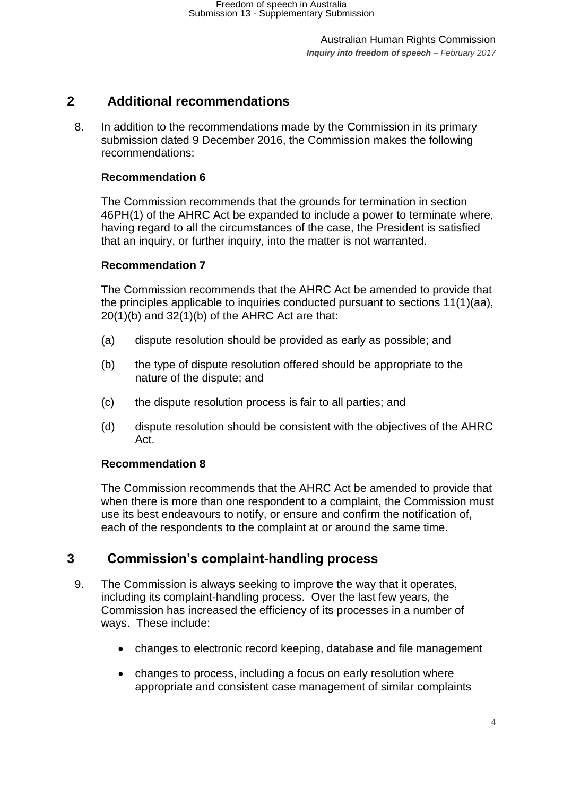## <span id="page-3-0"></span>**2 Additional recommendations**

8. In addition to the recommendations made by the Commission in its primary submission dated 9 December 2016, the Commission makes the following recommendations:

#### **Recommendation 6**

The Commission recommends that the grounds for termination in section 46PH(1) of the AHRC Act be expanded to include a power to terminate where, having regard to all the circumstances of the case, the President is satisfied that an inquiry, or further inquiry, into the matter is not warranted.

#### **Recommendation 7**

The Commission recommends that the AHRC Act be amended to provide that the principles applicable to inquiries conducted pursuant to sections 11(1)(aa),  $20(1)(b)$  and  $32(1)(b)$  of the AHRC Act are that:

- (a) dispute resolution should be provided as early as possible; and
- (b) the type of dispute resolution offered should be appropriate to the nature of the dispute; and
- (c) the dispute resolution process is fair to all parties; and
- (d) dispute resolution should be consistent with the objectives of the AHRC Act.

#### **Recommendation 8**

The Commission recommends that the AHRC Act be amended to provide that when there is more than one respondent to a complaint, the Commission must use its best endeavours to notify, or ensure and confirm the notification of, each of the respondents to the complaint at or around the same time.

## <span id="page-3-1"></span>**3 Commission's complaint-handling process**

- 9. The Commission is always seeking to improve the way that it operates, including its complaint-handling process. Over the last few years, the Commission has increased the efficiency of its processes in a number of ways. These include:
	- changes to electronic record keeping, database and file management
	- changes to process, including a focus on early resolution where appropriate and consistent case management of similar complaints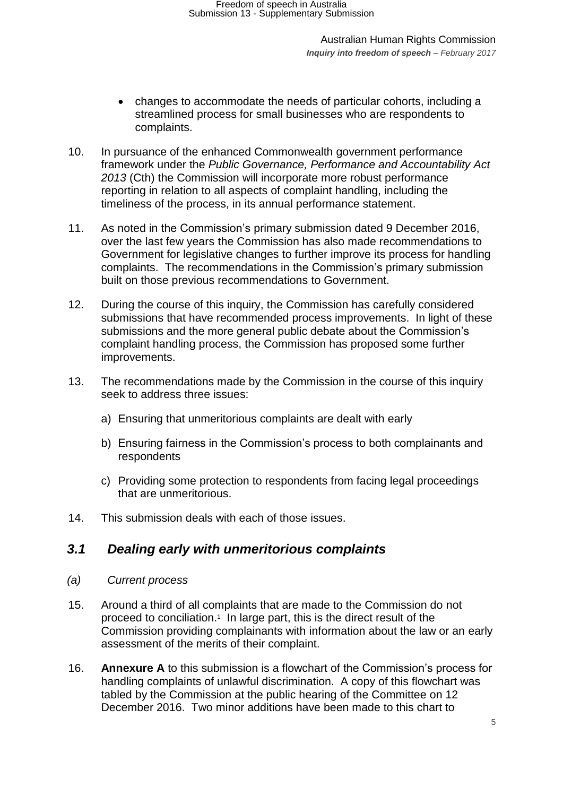- changes to accommodate the needs of particular cohorts, including a streamlined process for small businesses who are respondents to complaints.
- 10. In pursuance of the enhanced Commonwealth government performance framework under the *Public Governance, Performance and Accountability Act 2013* (Cth) the Commission will incorporate more robust performance reporting in relation to all aspects of complaint handling, including the timeliness of the process, in its annual performance statement.
- 11. As noted in the Commission's primary submission dated 9 December 2016, over the last few years the Commission has also made recommendations to Government for legislative changes to further improve its process for handling complaints. The recommendations in the Commission's primary submission built on those previous recommendations to Government.
- 12. During the course of this inquiry, the Commission has carefully considered submissions that have recommended process improvements. In light of these submissions and the more general public debate about the Commission's complaint handling process, the Commission has proposed some further improvements.
- 13. The recommendations made by the Commission in the course of this inquiry seek to address three issues:
	- a) Ensuring that unmeritorious complaints are dealt with early
	- b) Ensuring fairness in the Commission's process to both complainants and respondents
	- c) Providing some protection to respondents from facing legal proceedings that are unmeritorious.
- 14. This submission deals with each of those issues.

## <span id="page-4-0"></span>*3.1 Dealing early with unmeritorious complaints*

- <span id="page-4-1"></span>*(a) Current process*
- 15. Around a third of all complaints that are made to the Commission do not proceed to conciliation.<sup>1</sup> In large part, this is the direct result of the Commission providing complainants with information about the law or an early assessment of the merits of their complaint.
- 16. **Annexure A** to this submission is a flowchart of the Commission's process for handling complaints of unlawful discrimination. A copy of this flowchart was tabled by the Commission at the public hearing of the Committee on 12 December 2016. Two minor additions have been made to this chart to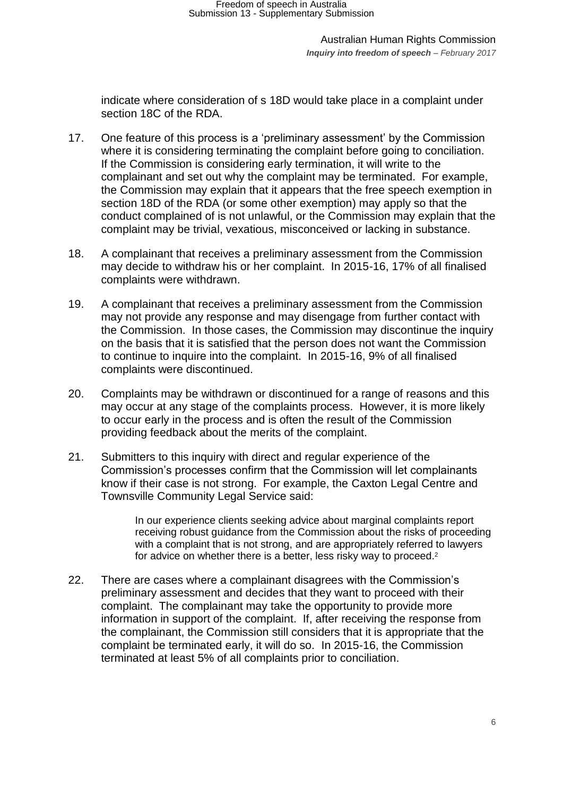indicate where consideration of s 18D would take place in a complaint under section 18C of the RDA.

- 17. One feature of this process is a 'preliminary assessment' by the Commission where it is considering terminating the complaint before going to conciliation. If the Commission is considering early termination, it will write to the complainant and set out why the complaint may be terminated. For example, the Commission may explain that it appears that the free speech exemption in section 18D of the RDA (or some other exemption) may apply so that the conduct complained of is not unlawful, or the Commission may explain that the complaint may be trivial, vexatious, misconceived or lacking in substance.
- 18. A complainant that receives a preliminary assessment from the Commission may decide to withdraw his or her complaint. In 2015-16, 17% of all finalised complaints were withdrawn.
- 19. A complainant that receives a preliminary assessment from the Commission may not provide any response and may disengage from further contact with the Commission. In those cases, the Commission may discontinue the inquiry on the basis that it is satisfied that the person does not want the Commission to continue to inquire into the complaint. In 2015-16, 9% of all finalised complaints were discontinued.
- 20. Complaints may be withdrawn or discontinued for a range of reasons and this may occur at any stage of the complaints process. However, it is more likely to occur early in the process and is often the result of the Commission providing feedback about the merits of the complaint.
- 21. Submitters to this inquiry with direct and regular experience of the Commission's processes confirm that the Commission will let complainants know if their case is not strong. For example, the Caxton Legal Centre and Townsville Community Legal Service said:

In our experience clients seeking advice about marginal complaints report receiving robust guidance from the Commission about the risks of proceeding with a complaint that is not strong, and are appropriately referred to lawyers for advice on whether there is a better, less risky way to proceed.<sup>2</sup>

22. There are cases where a complainant disagrees with the Commission's preliminary assessment and decides that they want to proceed with their complaint. The complainant may take the opportunity to provide more information in support of the complaint. If, after receiving the response from the complainant, the Commission still considers that it is appropriate that the complaint be terminated early, it will do so. In 2015-16, the Commission terminated at least 5% of all complaints prior to conciliation.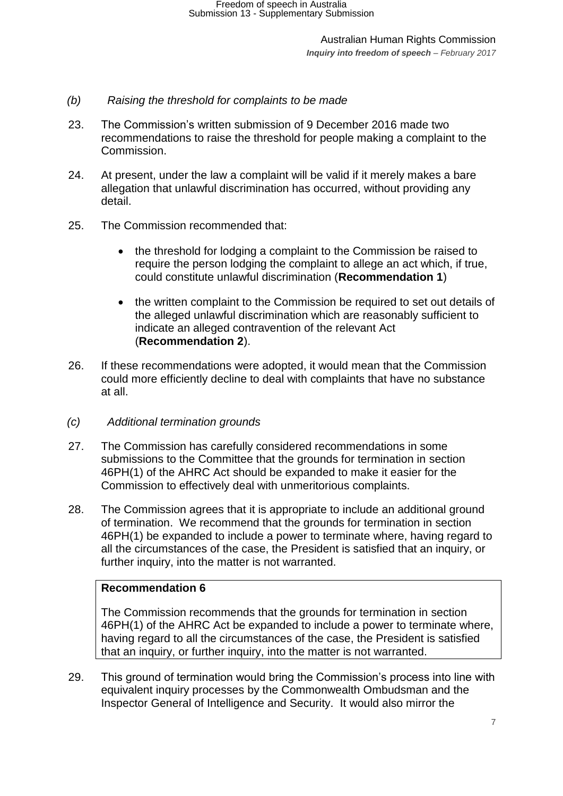#### <span id="page-6-0"></span>*(b) Raising the threshold for complaints to be made*

- 23. The Commission's written submission of 9 December 2016 made two recommendations to raise the threshold for people making a complaint to the Commission.
- 24. At present, under the law a complaint will be valid if it merely makes a bare allegation that unlawful discrimination has occurred, without providing any detail.
- 25. The Commission recommended that:
	- the threshold for lodging a complaint to the Commission be raised to require the person lodging the complaint to allege an act which, if true, could constitute unlawful discrimination (**Recommendation 1**)
	- the written complaint to the Commission be required to set out details of the alleged unlawful discrimination which are reasonably sufficient to indicate an alleged contravention of the relevant Act (**Recommendation 2**).
- 26. If these recommendations were adopted, it would mean that the Commission could more efficiently decline to deal with complaints that have no substance at all.
- <span id="page-6-1"></span>*(c) Additional termination grounds*
- 27. The Commission has carefully considered recommendations in some submissions to the Committee that the grounds for termination in section 46PH(1) of the AHRC Act should be expanded to make it easier for the Commission to effectively deal with unmeritorious complaints.
- 28. The Commission agrees that it is appropriate to include an additional ground of termination. We recommend that the grounds for termination in section 46PH(1) be expanded to include a power to terminate where, having regard to all the circumstances of the case, the President is satisfied that an inquiry, or further inquiry, into the matter is not warranted.

#### **Recommendation 6**

The Commission recommends that the grounds for termination in section 46PH(1) of the AHRC Act be expanded to include a power to terminate where, having regard to all the circumstances of the case, the President is satisfied that an inquiry, or further inquiry, into the matter is not warranted.

29. This ground of termination would bring the Commission's process into line with equivalent inquiry processes by the Commonwealth Ombudsman and the Inspector General of Intelligence and Security. It would also mirror the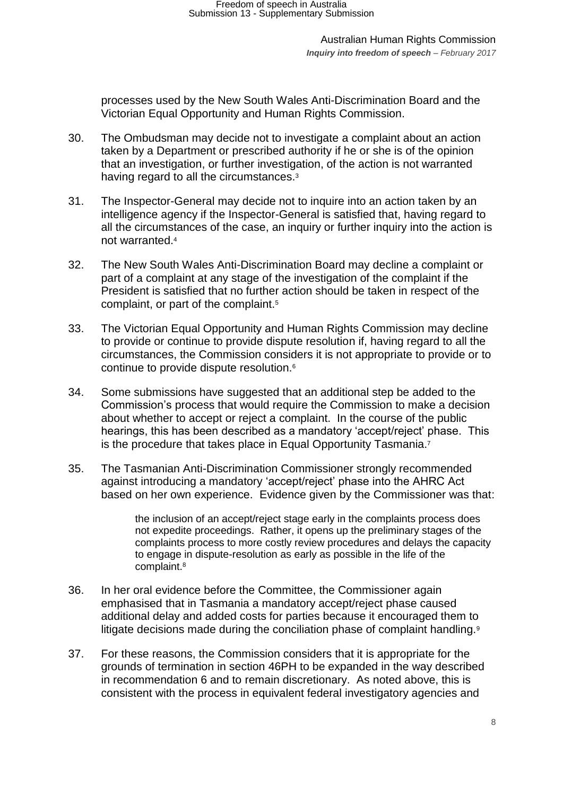processes used by the New South Wales Anti-Discrimination Board and the Victorian Equal Opportunity and Human Rights Commission.

- 30. The Ombudsman may decide not to investigate a complaint about an action taken by a Department or prescribed authority if he or she is of the opinion that an investigation, or further investigation, of the action is not warranted having regard to all the circumstances.<sup>3</sup>
- 31. The Inspector-General may decide not to inquire into an action taken by an intelligence agency if the Inspector-General is satisfied that, having regard to all the circumstances of the case, an inquiry or further inquiry into the action is not warranted.<sup>4</sup>
- 32. The New South Wales Anti-Discrimination Board may decline a complaint or part of a complaint at any stage of the investigation of the complaint if the President is satisfied that no further action should be taken in respect of the complaint, or part of the complaint.<sup>5</sup>
- 33. The Victorian Equal Opportunity and Human Rights Commission may decline to provide or continue to provide dispute resolution if, having regard to all the circumstances, the Commission considers it is not appropriate to provide or to continue to provide dispute resolution.<sup>6</sup>
- 34. Some submissions have suggested that an additional step be added to the Commission's process that would require the Commission to make a decision about whether to accept or reject a complaint. In the course of the public hearings, this has been described as a mandatory 'accept/reject' phase. This is the procedure that takes place in Equal Opportunity Tasmania.<sup>7</sup>
- 35. The Tasmanian Anti-Discrimination Commissioner strongly recommended against introducing a mandatory 'accept/reject' phase into the AHRC Act based on her own experience. Evidence given by the Commissioner was that:

the inclusion of an accept/reject stage early in the complaints process does not expedite proceedings. Rather, it opens up the preliminary stages of the complaints process to more costly review procedures and delays the capacity to engage in dispute-resolution as early as possible in the life of the complaint.<sup>8</sup>

- 36. In her oral evidence before the Committee, the Commissioner again emphasised that in Tasmania a mandatory accept/reject phase caused additional delay and added costs for parties because it encouraged them to litigate decisions made during the conciliation phase of complaint handling.<sup>9</sup>
- 37. For these reasons, the Commission considers that it is appropriate for the grounds of termination in section 46PH to be expanded in the way described in recommendation 6 and to remain discretionary. As noted above, this is consistent with the process in equivalent federal investigatory agencies and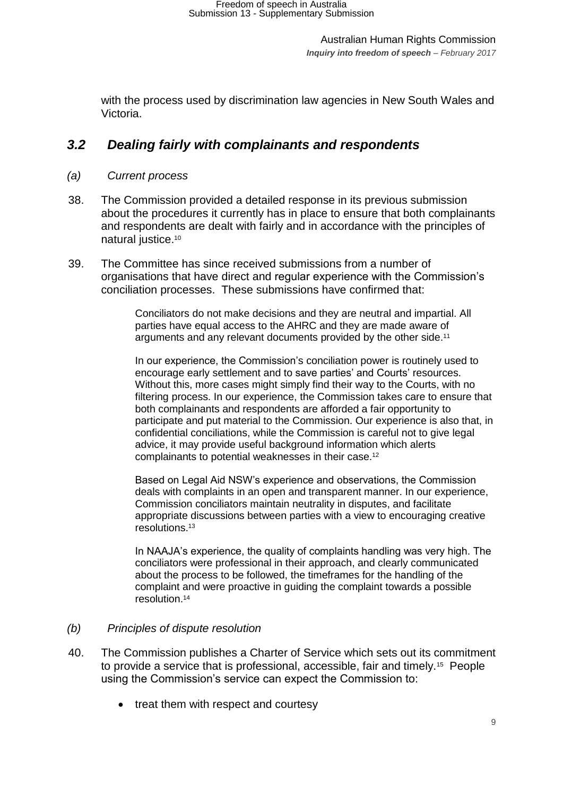with the process used by discrimination law agencies in New South Wales and Victoria.

## <span id="page-8-0"></span>*3.2 Dealing fairly with complainants and respondents*

#### <span id="page-8-1"></span>*(a) Current process*

- 38. The Commission provided a detailed response in its previous submission about the procedures it currently has in place to ensure that both complainants and respondents are dealt with fairly and in accordance with the principles of natural justice.<sup>10</sup>
- 39. The Committee has since received submissions from a number of organisations that have direct and regular experience with the Commission's conciliation processes. These submissions have confirmed that:

Conciliators do not make decisions and they are neutral and impartial. All parties have equal access to the AHRC and they are made aware of arguments and any relevant documents provided by the other side.<sup>11</sup>

In our experience, the Commission's conciliation power is routinely used to encourage early settlement and to save parties' and Courts' resources. Without this, more cases might simply find their way to the Courts, with no filtering process. In our experience, the Commission takes care to ensure that both complainants and respondents are afforded a fair opportunity to participate and put material to the Commission. Our experience is also that, in confidential conciliations, while the Commission is careful not to give legal advice, it may provide useful background information which alerts complainants to potential weaknesses in their case.<sup>12</sup>

Based on Legal Aid NSW's experience and observations, the Commission deals with complaints in an open and transparent manner. In our experience, Commission conciliators maintain neutrality in disputes, and facilitate appropriate discussions between parties with a view to encouraging creative resolutions.<sup>13</sup>

In NAAJA's experience, the quality of complaints handling was very high. The conciliators were professional in their approach, and clearly communicated about the process to be followed, the timeframes for the handling of the complaint and were proactive in guiding the complaint towards a possible resolution.<sup>14</sup>

#### <span id="page-8-2"></span>*(b) Principles of dispute resolution*

- 40. The Commission publishes a Charter of Service which sets out its commitment to provide a service that is professional, accessible, fair and timely.<sup>15</sup> People using the Commission's service can expect the Commission to:
	- treat them with respect and courtesy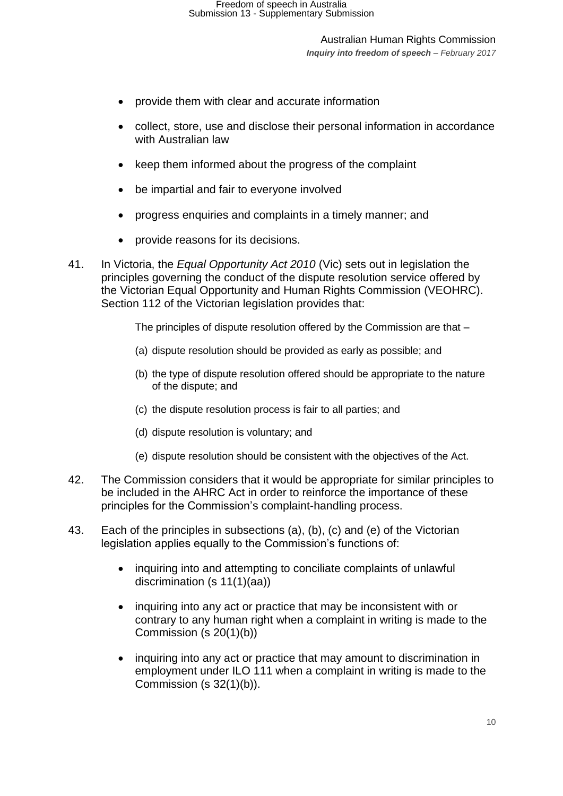- provide them with clear and accurate information
- collect, store, use and disclose their personal information in accordance with Australian law
- keep them informed about the progress of the complaint
- be impartial and fair to everyone involved
- progress enquiries and complaints in a timely manner; and
- provide reasons for its decisions.
- 41. In Victoria, the *Equal Opportunity Act 2010* (Vic) sets out in legislation the principles governing the conduct of the dispute resolution service offered by the Victorian Equal Opportunity and Human Rights Commission (VEOHRC). Section 112 of the Victorian legislation provides that:

The principles of dispute resolution offered by the Commission are that –

- (a) dispute resolution should be provided as early as possible; and
- (b) the type of dispute resolution offered should be appropriate to the nature of the dispute; and
- (c) the dispute resolution process is fair to all parties; and
- (d) dispute resolution is voluntary; and
- (e) dispute resolution should be consistent with the objectives of the Act.
- 42. The Commission considers that it would be appropriate for similar principles to be included in the AHRC Act in order to reinforce the importance of these principles for the Commission's complaint-handling process.
- 43. Each of the principles in subsections (a), (b), (c) and (e) of the Victorian legislation applies equally to the Commission's functions of:
	- inquiring into and attempting to conciliate complaints of unlawful discrimination (s 11(1)(aa))
	- inquiring into any act or practice that may be inconsistent with or contrary to any human right when a complaint in writing is made to the Commission (s 20(1)(b))
	- inquiring into any act or practice that may amount to discrimination in employment under ILO 111 when a complaint in writing is made to the Commission (s 32(1)(b)).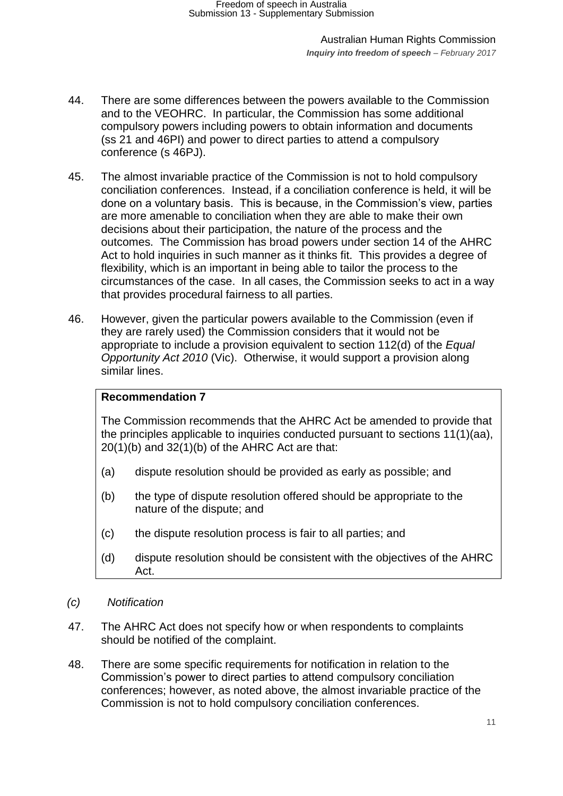- 44. There are some differences between the powers available to the Commission and to the VEOHRC. In particular, the Commission has some additional compulsory powers including powers to obtain information and documents (ss 21 and 46PI) and power to direct parties to attend a compulsory conference (s 46PJ).
- 45. The almost invariable practice of the Commission is not to hold compulsory conciliation conferences. Instead, if a conciliation conference is held, it will be done on a voluntary basis. This is because, in the Commission's view, parties are more amenable to conciliation when they are able to make their own decisions about their participation, the nature of the process and the outcomes. The Commission has broad powers under section 14 of the AHRC Act to hold inquiries in such manner as it thinks fit. This provides a degree of flexibility, which is an important in being able to tailor the process to the circumstances of the case. In all cases, the Commission seeks to act in a way that provides procedural fairness to all parties.
- 46. However, given the particular powers available to the Commission (even if they are rarely used) the Commission considers that it would not be appropriate to include a provision equivalent to section 112(d) of the *Equal Opportunity Act 2010* (Vic). Otherwise, it would support a provision along similar lines.

#### **Recommendation 7**

The Commission recommends that the AHRC Act be amended to provide that the principles applicable to inquiries conducted pursuant to sections 11(1)(aa),  $20(1)(b)$  and  $32(1)(b)$  of the AHRC Act are that:

- (a) dispute resolution should be provided as early as possible; and
- (b) the type of dispute resolution offered should be appropriate to the nature of the dispute; and
- (c) the dispute resolution process is fair to all parties; and
- (d) dispute resolution should be consistent with the objectives of the AHRC Act.
- <span id="page-10-0"></span>*(c) Notification*
- 47. The AHRC Act does not specify how or when respondents to complaints should be notified of the complaint.
- 48. There are some specific requirements for notification in relation to the Commission's power to direct parties to attend compulsory conciliation conferences; however, as noted above, the almost invariable practice of the Commission is not to hold compulsory conciliation conferences.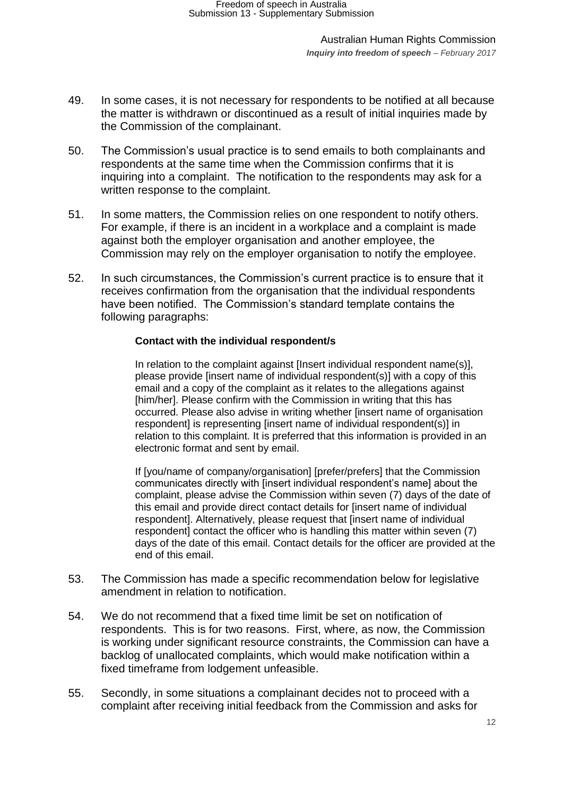- 49. In some cases, it is not necessary for respondents to be notified at all because the matter is withdrawn or discontinued as a result of initial inquiries made by the Commission of the complainant.
- 50. The Commission's usual practice is to send emails to both complainants and respondents at the same time when the Commission confirms that it is inquiring into a complaint. The notification to the respondents may ask for a written response to the complaint.
- 51. In some matters, the Commission relies on one respondent to notify others. For example, if there is an incident in a workplace and a complaint is made against both the employer organisation and another employee, the Commission may rely on the employer organisation to notify the employee.
- 52. In such circumstances, the Commission's current practice is to ensure that it receives confirmation from the organisation that the individual respondents have been notified. The Commission's standard template contains the following paragraphs:

#### **Contact with the individual respondent/s**

In relation to the complaint against [Insert individual respondent name(s)], please provide [insert name of individual respondent(s)] with a copy of this email and a copy of the complaint as it relates to the allegations against [him/her]. Please confirm with the Commission in writing that this has occurred. Please also advise in writing whether [insert name of organisation respondent] is representing linsert name of individual respondent(s)] in relation to this complaint. It is preferred that this information is provided in an electronic format and sent by email.

If [you/name of company/organisation] [prefer/prefers] that the Commission communicates directly with [insert individual respondent's name] about the complaint, please advise the Commission within seven (7) days of the date of this email and provide direct contact details for [insert name of individual respondent]. Alternatively, please request that [insert name of individual respondent] contact the officer who is handling this matter within seven (7) days of the date of this email. Contact details for the officer are provided at the end of this email.

- 53. The Commission has made a specific recommendation below for legislative amendment in relation to notification.
- 54. We do not recommend that a fixed time limit be set on notification of respondents. This is for two reasons. First, where, as now, the Commission is working under significant resource constraints, the Commission can have a backlog of unallocated complaints, which would make notification within a fixed timeframe from lodgement unfeasible.
- 55. Secondly, in some situations a complainant decides not to proceed with a complaint after receiving initial feedback from the Commission and asks for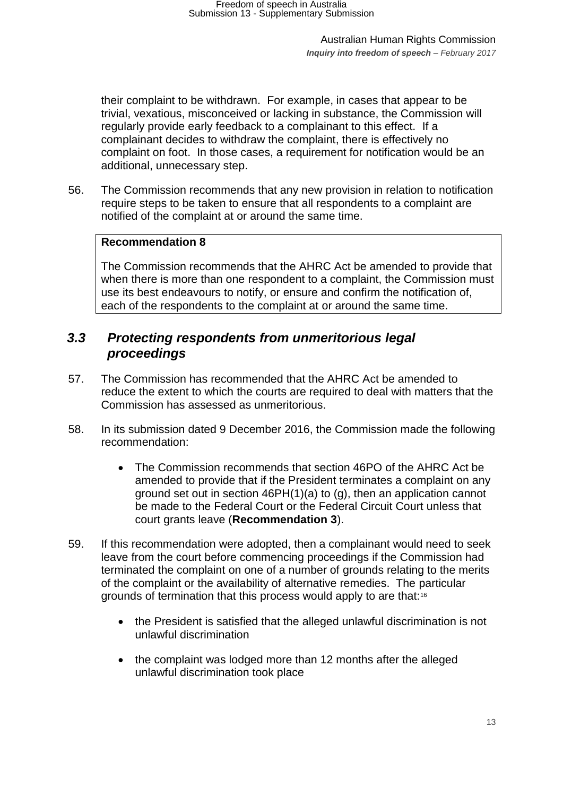their complaint to be withdrawn. For example, in cases that appear to be trivial, vexatious, misconceived or lacking in substance, the Commission will regularly provide early feedback to a complainant to this effect. If a complainant decides to withdraw the complaint, there is effectively no complaint on foot. In those cases, a requirement for notification would be an additional, unnecessary step.

56. The Commission recommends that any new provision in relation to notification require steps to be taken to ensure that all respondents to a complaint are notified of the complaint at or around the same time.

#### **Recommendation 8**

The Commission recommends that the AHRC Act be amended to provide that when there is more than one respondent to a complaint, the Commission must use its best endeavours to notify, or ensure and confirm the notification of, each of the respondents to the complaint at or around the same time.

## <span id="page-12-0"></span>*3.3 Protecting respondents from unmeritorious legal proceedings*

- 57. The Commission has recommended that the AHRC Act be amended to reduce the extent to which the courts are required to deal with matters that the Commission has assessed as unmeritorious.
- 58. In its submission dated 9 December 2016, the Commission made the following recommendation:
	- The Commission recommends that section 46PO of the AHRC Act be amended to provide that if the President terminates a complaint on any ground set out in section 46PH(1)(a) to (g), then an application cannot be made to the Federal Court or the Federal Circuit Court unless that court grants leave (**Recommendation 3**).
- 59. If this recommendation were adopted, then a complainant would need to seek leave from the court before commencing proceedings if the Commission had terminated the complaint on one of a number of grounds relating to the merits of the complaint or the availability of alternative remedies. The particular grounds of termination that this process would apply to are that:<sup>16</sup>
	- the President is satisfied that the alleged unlawful discrimination is not unlawful discrimination
	- the complaint was lodged more than 12 months after the alleged unlawful discrimination took place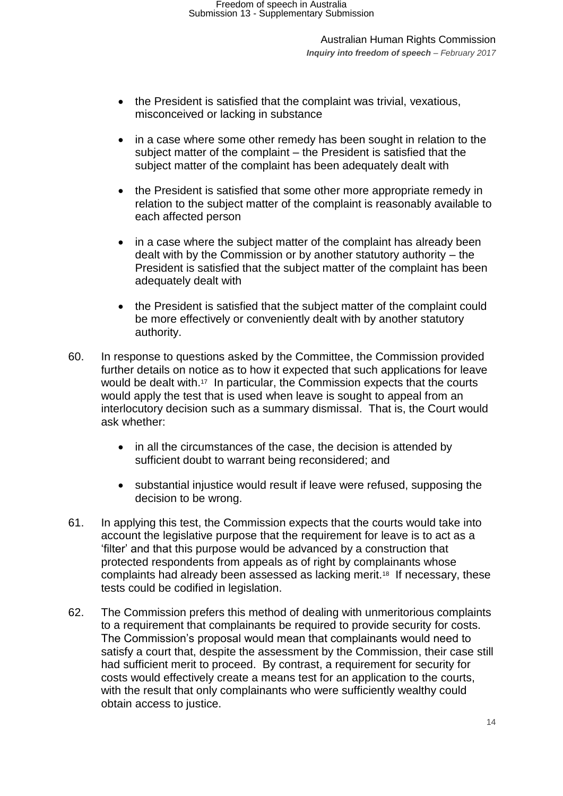- the President is satisfied that the complaint was trivial, vexatious, misconceived or lacking in substance
- in a case where some other remedy has been sought in relation to the subject matter of the complaint – the President is satisfied that the subject matter of the complaint has been adequately dealt with
- the President is satisfied that some other more appropriate remedy in relation to the subject matter of the complaint is reasonably available to each affected person
- in a case where the subject matter of the complaint has already been dealt with by the Commission or by another statutory authority – the President is satisfied that the subject matter of the complaint has been adequately dealt with
- the President is satisfied that the subject matter of the complaint could be more effectively or conveniently dealt with by another statutory authority.
- 60. In response to questions asked by the Committee, the Commission provided further details on notice as to how it expected that such applications for leave would be dealt with.<sup>17</sup> In particular, the Commission expects that the courts would apply the test that is used when leave is sought to appeal from an interlocutory decision such as a summary dismissal. That is, the Court would ask whether:
	- in all the circumstances of the case, the decision is attended by sufficient doubt to warrant being reconsidered; and
	- substantial injustice would result if leave were refused, supposing the decision to be wrong.
- 61. In applying this test, the Commission expects that the courts would take into account the legislative purpose that the requirement for leave is to act as a 'filter' and that this purpose would be advanced by a construction that protected respondents from appeals as of right by complainants whose complaints had already been assessed as lacking merit.<sup>18</sup> If necessary, these tests could be codified in legislation.
- 62. The Commission prefers this method of dealing with unmeritorious complaints to a requirement that complainants be required to provide security for costs. The Commission's proposal would mean that complainants would need to satisfy a court that, despite the assessment by the Commission, their case still had sufficient merit to proceed. By contrast, a requirement for security for costs would effectively create a means test for an application to the courts, with the result that only complainants who were sufficiently wealthy could obtain access to justice.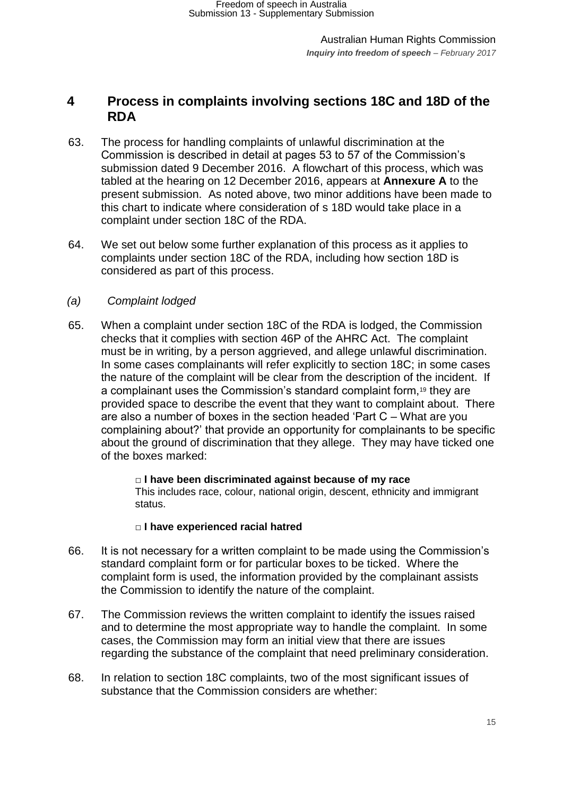## <span id="page-14-0"></span>**4 Process in complaints involving sections 18C and 18D of the RDA**

- 63. The process for handling complaints of unlawful discrimination at the Commission is described in detail at pages 53 to 57 of the Commission's submission dated 9 December 2016. A flowchart of this process, which was tabled at the hearing on 12 December 2016, appears at **Annexure A** to the present submission. As noted above, two minor additions have been made to this chart to indicate where consideration of s 18D would take place in a complaint under section 18C of the RDA.
- 64. We set out below some further explanation of this process as it applies to complaints under section 18C of the RDA, including how section 18D is considered as part of this process.
- <span id="page-14-1"></span>*(a) Complaint lodged*
- 65. When a complaint under section 18C of the RDA is lodged, the Commission checks that it complies with section 46P of the AHRC Act. The complaint must be in writing, by a person aggrieved, and allege unlawful discrimination. In some cases complainants will refer explicitly to section 18C; in some cases the nature of the complaint will be clear from the description of the incident. If a complainant uses the Commission's standard complaint form,<sup>19</sup> they are provided space to describe the event that they want to complaint about. There are also a number of boxes in the section headed 'Part C – What are you complaining about?' that provide an opportunity for complainants to be specific about the ground of discrimination that they allege. They may have ticked one of the boxes marked:

**□ I have been discriminated against because of my race** This includes race, colour, national origin, descent, ethnicity and immigrant status.

#### **□ I have experienced racial hatred**

- 66. It is not necessary for a written complaint to be made using the Commission's standard complaint form or for particular boxes to be ticked. Where the complaint form is used, the information provided by the complainant assists the Commission to identify the nature of the complaint.
- 67. The Commission reviews the written complaint to identify the issues raised and to determine the most appropriate way to handle the complaint. In some cases, the Commission may form an initial view that there are issues regarding the substance of the complaint that need preliminary consideration.
- 68. In relation to section 18C complaints, two of the most significant issues of substance that the Commission considers are whether: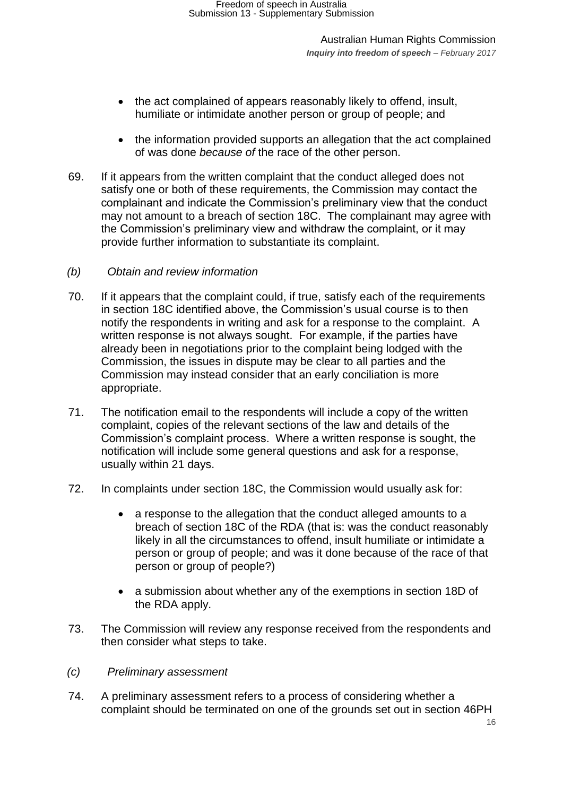- the act complained of appears reasonably likely to offend, insult, humiliate or intimidate another person or group of people; and
- the information provided supports an allegation that the act complained of was done *because of* the race of the other person.
- 69. If it appears from the written complaint that the conduct alleged does not satisfy one or both of these requirements, the Commission may contact the complainant and indicate the Commission's preliminary view that the conduct may not amount to a breach of section 18C. The complainant may agree with the Commission's preliminary view and withdraw the complaint, or it may provide further information to substantiate its complaint.
- <span id="page-15-0"></span>*(b) Obtain and review information*
- 70. If it appears that the complaint could, if true, satisfy each of the requirements in section 18C identified above, the Commission's usual course is to then notify the respondents in writing and ask for a response to the complaint. A written response is not always sought. For example, if the parties have already been in negotiations prior to the complaint being lodged with the Commission, the issues in dispute may be clear to all parties and the Commission may instead consider that an early conciliation is more appropriate.
- 71. The notification email to the respondents will include a copy of the written complaint, copies of the relevant sections of the law and details of the Commission's complaint process. Where a written response is sought, the notification will include some general questions and ask for a response, usually within 21 days.
- 72. In complaints under section 18C, the Commission would usually ask for:
	- a response to the allegation that the conduct alleged amounts to a breach of section 18C of the RDA (that is: was the conduct reasonably likely in all the circumstances to offend, insult humiliate or intimidate a person or group of people; and was it done because of the race of that person or group of people?)
	- a submission about whether any of the exemptions in section 18D of the RDA apply.
- 73. The Commission will review any response received from the respondents and then consider what steps to take.
- <span id="page-15-1"></span>*(c) Preliminary assessment*
- 74. A preliminary assessment refers to a process of considering whether a complaint should be terminated on one of the grounds set out in section 46PH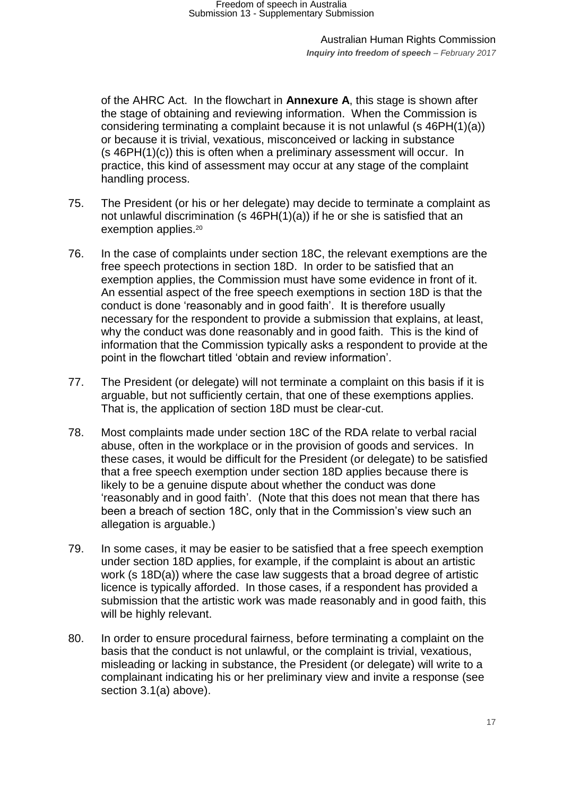of the AHRC Act. In the flowchart in **Annexure A**, this stage is shown after the stage of obtaining and reviewing information. When the Commission is considering terminating a complaint because it is not unlawful (s 46PH(1)(a)) or because it is trivial, vexatious, misconceived or lacking in substance (s 46PH(1)(c)) this is often when a preliminary assessment will occur. In practice, this kind of assessment may occur at any stage of the complaint handling process.

- 75. The President (or his or her delegate) may decide to terminate a complaint as not unlawful discrimination (s 46PH(1)(a)) if he or she is satisfied that an exemption applies.<sup>20</sup>
- 76. In the case of complaints under section 18C, the relevant exemptions are the free speech protections in section 18D. In order to be satisfied that an exemption applies, the Commission must have some evidence in front of it. An essential aspect of the free speech exemptions in section 18D is that the conduct is done 'reasonably and in good faith'. It is therefore usually necessary for the respondent to provide a submission that explains, at least, why the conduct was done reasonably and in good faith. This is the kind of information that the Commission typically asks a respondent to provide at the point in the flowchart titled 'obtain and review information'.
- 77. The President (or delegate) will not terminate a complaint on this basis if it is arguable, but not sufficiently certain, that one of these exemptions applies. That is, the application of section 18D must be clear-cut.
- 78. Most complaints made under section 18C of the RDA relate to verbal racial abuse, often in the workplace or in the provision of goods and services. In these cases, it would be difficult for the President (or delegate) to be satisfied that a free speech exemption under section 18D applies because there is likely to be a genuine dispute about whether the conduct was done 'reasonably and in good faith'. (Note that this does not mean that there has been a breach of section 18C, only that in the Commission's view such an allegation is arguable.)
- 79. In some cases, it may be easier to be satisfied that a free speech exemption under section 18D applies, for example, if the complaint is about an artistic work (s 18D(a)) where the case law suggests that a broad degree of artistic licence is typically afforded. In those cases, if a respondent has provided a submission that the artistic work was made reasonably and in good faith, this will be highly relevant.
- 80. In order to ensure procedural fairness, before terminating a complaint on the basis that the conduct is not unlawful, or the complaint is trivial, vexatious, misleading or lacking in substance, the President (or delegate) will write to a complainant indicating his or her preliminary view and invite a response (see section [3.1\(a\)](#page-4-1) above).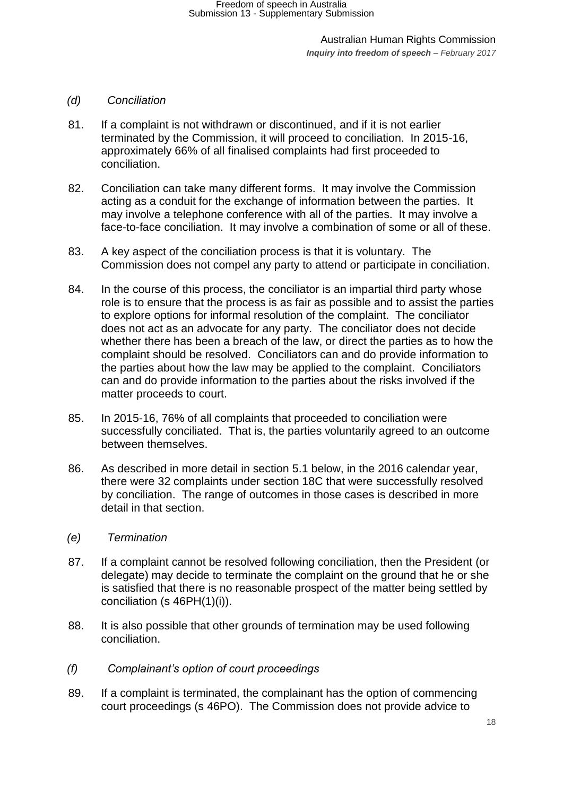#### <span id="page-17-0"></span>*(d) Conciliation*

- 81. If a complaint is not withdrawn or discontinued, and if it is not earlier terminated by the Commission, it will proceed to conciliation. In 2015-16, approximately 66% of all finalised complaints had first proceeded to conciliation.
- 82. Conciliation can take many different forms. It may involve the Commission acting as a conduit for the exchange of information between the parties. It may involve a telephone conference with all of the parties. It may involve a face-to-face conciliation. It may involve a combination of some or all of these.
- 83. A key aspect of the conciliation process is that it is voluntary. The Commission does not compel any party to attend or participate in conciliation.
- 84. In the course of this process, the conciliator is an impartial third party whose role is to ensure that the process is as fair as possible and to assist the parties to explore options for informal resolution of the complaint. The conciliator does not act as an advocate for any party. The conciliator does not decide whether there has been a breach of the law, or direct the parties as to how the complaint should be resolved. Conciliators can and do provide information to the parties about how the law may be applied to the complaint. Conciliators can and do provide information to the parties about the risks involved if the matter proceeds to court.
- 85. In 2015-16, 76% of all complaints that proceeded to conciliation were successfully conciliated. That is, the parties voluntarily agreed to an outcome between themselves.
- 86. As described in more detail in section [5.1](#page-18-1) below, in the 2016 calendar year, there were 32 complaints under section 18C that were successfully resolved by conciliation. The range of outcomes in those cases is described in more detail in that section.
- <span id="page-17-1"></span>*(e) Termination*
- 87. If a complaint cannot be resolved following conciliation, then the President (or delegate) may decide to terminate the complaint on the ground that he or she is satisfied that there is no reasonable prospect of the matter being settled by conciliation (s 46PH(1)(i)).
- 88. It is also possible that other grounds of termination may be used following conciliation.
- <span id="page-17-2"></span>*(f) Complainant's option of court proceedings*
- 89. If a complaint is terminated, the complainant has the option of commencing court proceedings (s 46PO). The Commission does not provide advice to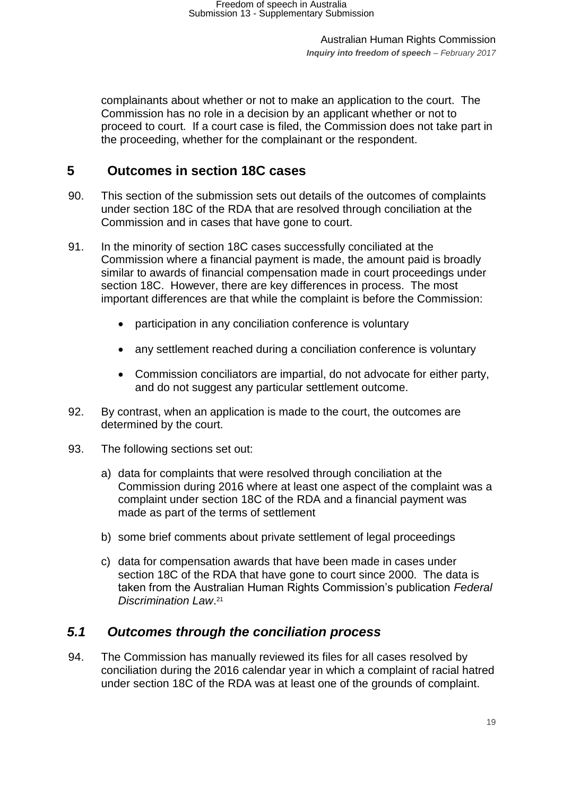complainants about whether or not to make an application to the court. The Commission has no role in a decision by an applicant whether or not to proceed to court. If a court case is filed, the Commission does not take part in the proceeding, whether for the complainant or the respondent.

## <span id="page-18-0"></span>**5 Outcomes in section 18C cases**

- 90. This section of the submission sets out details of the outcomes of complaints under section 18C of the RDA that are resolved through conciliation at the Commission and in cases that have gone to court.
- 91. In the minority of section 18C cases successfully conciliated at the Commission where a financial payment is made, the amount paid is broadly similar to awards of financial compensation made in court proceedings under section 18C. However, there are key differences in process. The most important differences are that while the complaint is before the Commission:
	- participation in any conciliation conference is voluntary
	- any settlement reached during a conciliation conference is voluntary
	- Commission conciliators are impartial, do not advocate for either party, and do not suggest any particular settlement outcome.
- 92. By contrast, when an application is made to the court, the outcomes are determined by the court.
- 93. The following sections set out:
	- a) data for complaints that were resolved through conciliation at the Commission during 2016 where at least one aspect of the complaint was a complaint under section 18C of the RDA and a financial payment was made as part of the terms of settlement
	- b) some brief comments about private settlement of legal proceedings
	- c) data for compensation awards that have been made in cases under section 18C of the RDA that have gone to court since 2000. The data is taken from the Australian Human Rights Commission's publication *Federal Discrimination Law*. 21

## <span id="page-18-1"></span>*5.1 Outcomes through the conciliation process*

94. The Commission has manually reviewed its files for all cases resolved by conciliation during the 2016 calendar year in which a complaint of racial hatred under section 18C of the RDA was at least one of the grounds of complaint.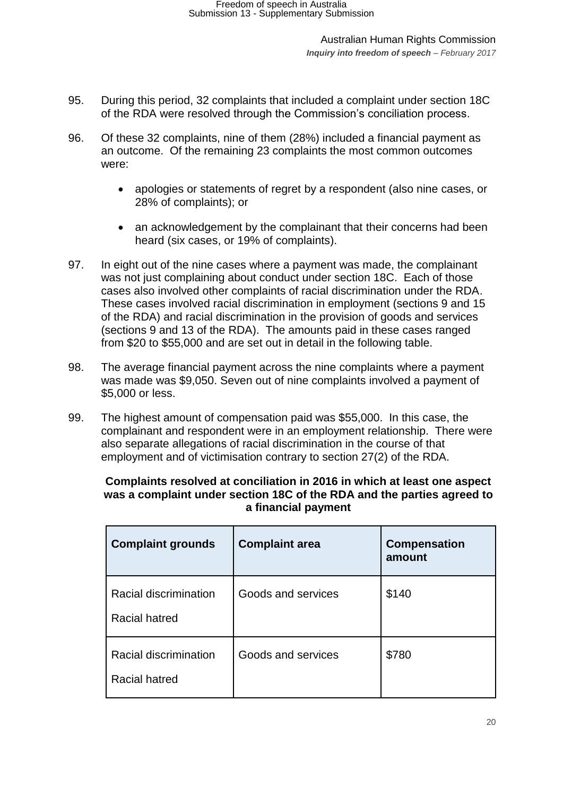- 95. During this period, 32 complaints that included a complaint under section 18C of the RDA were resolved through the Commission's conciliation process.
- 96. Of these 32 complaints, nine of them (28%) included a financial payment as an outcome. Of the remaining 23 complaints the most common outcomes were:
	- apologies or statements of regret by a respondent (also nine cases, or 28% of complaints); or
	- an acknowledgement by the complainant that their concerns had been heard (six cases, or 19% of complaints).
- 97. In eight out of the nine cases where a payment was made, the complainant was not just complaining about conduct under section 18C. Each of those cases also involved other complaints of racial discrimination under the RDA. These cases involved racial discrimination in employment (sections 9 and 15 of the RDA) and racial discrimination in the provision of goods and services (sections 9 and 13 of the RDA). The amounts paid in these cases ranged from \$20 to \$55,000 and are set out in detail in the following table.
- 98. The average financial payment across the nine complaints where a payment was made was \$9,050. Seven out of nine complaints involved a payment of \$5,000 or less.
- <span id="page-19-0"></span>99. The highest amount of compensation paid was \$55,000. In this case, the complainant and respondent were in an employment relationship. There were also separate allegations of racial discrimination in the course of that employment and of victimisation contrary to section 27(2) of the RDA.

#### **Complaints resolved at conciliation in 2016 in which at least one aspect was a complaint under section 18C of the RDA and the parties agreed to a financial payment**

| <b>Complaint grounds</b>               | <b>Complaint area</b> | <b>Compensation</b><br>amount |
|----------------------------------------|-----------------------|-------------------------------|
| Racial discrimination<br>Racial hatred | Goods and services    | \$140                         |
| Racial discrimination<br>Racial hatred | Goods and services    | \$780                         |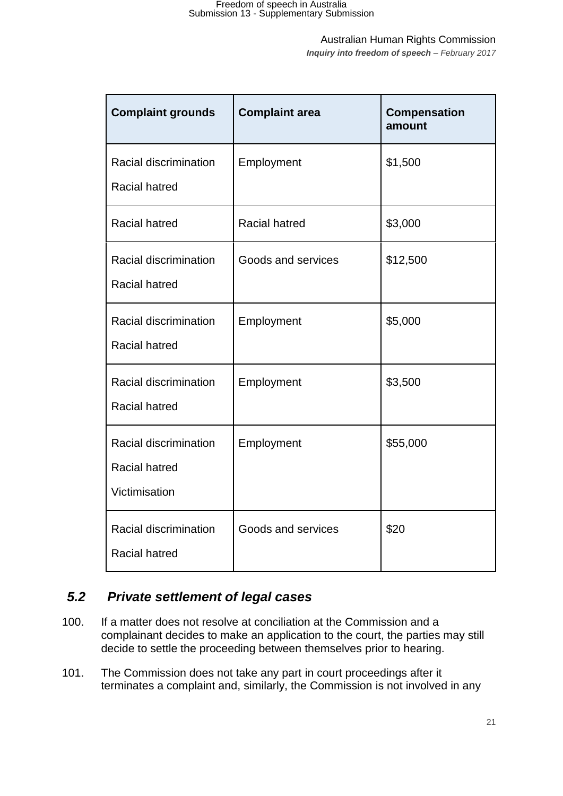Australian Human Rights Commission

*Inquiry into freedom of speech – February 2017*

| <b>Complaint grounds</b>                                       | <b>Complaint area</b> | <b>Compensation</b><br>amount |
|----------------------------------------------------------------|-----------------------|-------------------------------|
| Racial discrimination<br><b>Racial hatred</b>                  | Employment            | \$1,500                       |
| <b>Racial hatred</b>                                           | <b>Racial hatred</b>  | \$3,000                       |
| Racial discrimination<br><b>Racial hatred</b>                  | Goods and services    | \$12,500                      |
| Racial discrimination<br><b>Racial hatred</b>                  | Employment            | \$5,000                       |
| Racial discrimination<br><b>Racial hatred</b>                  | Employment            | \$3,500                       |
| Racial discrimination<br><b>Racial hatred</b><br>Victimisation | Employment            | \$55,000                      |
| Racial discrimination<br><b>Racial hatred</b>                  | Goods and services    | \$20                          |

## <span id="page-20-0"></span>*5.2 Private settlement of legal cases*

- 100. If a matter does not resolve at conciliation at the Commission and a complainant decides to make an application to the court, the parties may still decide to settle the proceeding between themselves prior to hearing.
- 101. The Commission does not take any part in court proceedings after it terminates a complaint and, similarly, the Commission is not involved in any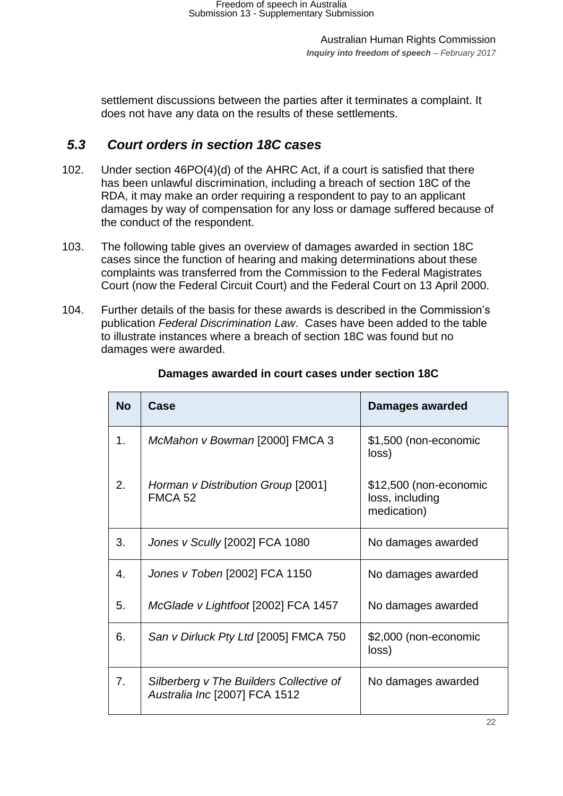settlement discussions between the parties after it terminates a complaint. It does not have any data on the results of these settlements.

## <span id="page-21-0"></span>*5.3 Court orders in section 18C cases*

- 102. Under section 46PO(4)(d) of the AHRC Act, if a court is satisfied that there has been unlawful discrimination, including a breach of section 18C of the RDA, it may make an order requiring a respondent to pay to an applicant damages by way of compensation for any loss or damage suffered because of the conduct of the respondent.
- 103. The following table gives an overview of damages awarded in section 18C cases since the function of hearing and making determinations about these complaints was transferred from the Commission to the Federal Magistrates Court (now the Federal Circuit Court) and the Federal Court on 13 April 2000.
- 104. Further details of the basis for these awards is described in the Commission's publication *Federal Discrimination Law*. Cases have been added to the table to illustrate instances where a breach of section 18C was found but no damages were awarded.

| <b>No</b> | Case                                                                     | Damages awarded                                          |
|-----------|--------------------------------------------------------------------------|----------------------------------------------------------|
| 1.        | McMahon v Bowman [2000] FMCA 3                                           | \$1,500 (non-economic<br>loss)                           |
| 2.        | Horman v Distribution Group [2001]<br>FMCA <sub>52</sub>                 | \$12,500 (non-economic<br>loss, including<br>medication) |
| 3.        | Jones v Scully [2002] FCA 1080                                           | No damages awarded                                       |
| 4.        | Jones v Toben [2002] FCA 1150                                            | No damages awarded                                       |
| 5.        | McGlade v Lightfoot [2002] FCA 1457                                      | No damages awarded                                       |
| 6.        | San v Dirluck Pty Ltd [2005] FMCA 750                                    | \$2,000 (non-economic<br>loss)                           |
| 7.        | Silberberg v The Builders Collective of<br>Australia Inc [2007] FCA 1512 | No damages awarded                                       |

#### **Damages awarded in court cases under section 18C**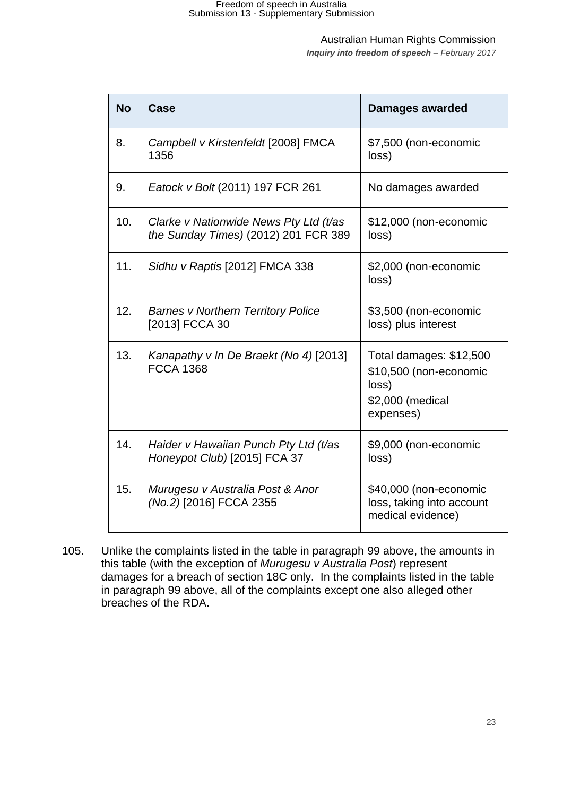# Freedom of speech in Australia Submission 13 - Supplementary Submission

Australian Human Rights Commission

*Inquiry into freedom of speech – February 2017*

| <b>No</b> | Case                                                                           | <b>Damages awarded</b>                                                                      |
|-----------|--------------------------------------------------------------------------------|---------------------------------------------------------------------------------------------|
| 8.        | Campbell v Kirstenfeldt [2008] FMCA<br>1356                                    | \$7,500 (non-economic<br>loss)                                                              |
| 9.        | Eatock v Bolt (2011) 197 FCR 261                                               | No damages awarded                                                                          |
| 10.       | Clarke v Nationwide News Pty Ltd (t/as<br>the Sunday Times) (2012) 201 FCR 389 | \$12,000 (non-economic<br>loss)                                                             |
| 11.       | Sidhu v Raptis [2012] FMCA 338                                                 | \$2,000 (non-economic<br>loss)                                                              |
| 12.       | <b>Barnes v Northern Territory Police</b><br>[2013] FCCA 30                    | \$3,500 (non-economic<br>loss) plus interest                                                |
| 13.       | Kanapathy v In De Braekt (No 4) [2013]<br><b>FCCA 1368</b>                     | Total damages: \$12,500<br>\$10,500 (non-economic<br>loss)<br>\$2,000 (medical<br>expenses) |
| 14.       | Haider v Hawaiian Punch Pty Ltd (t/as<br>Honeypot Club) [2015] FCA 37          | \$9,000 (non-economic<br>loss)                                                              |
| 15.       | Murugesu v Australia Post & Anor<br>(No.2) [2016] FCCA 2355                    | \$40,000 (non-economic<br>loss, taking into account<br>medical evidence)                    |

105. Unlike the complaints listed in the table in paragraph [99](#page-19-0) above, the amounts in this table (with the exception of *Murugesu v Australia Post*) represent damages for a breach of section 18C only. In the complaints listed in the table in paragraph [99](#page-19-0) above, all of the complaints except one also alleged other breaches of the RDA.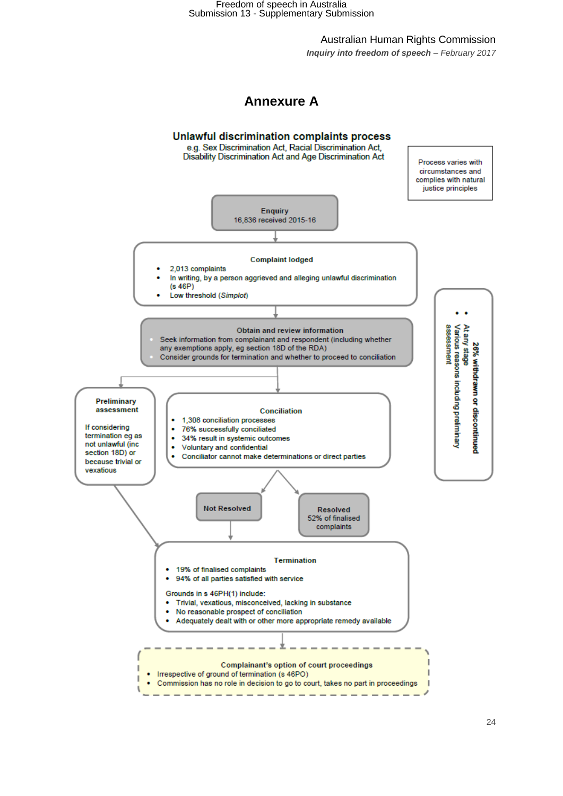Freedom of speech in Australia Submission 13 - Supplementary Submission

Australian Human Rights Commission

*Inquiry into freedom of speech – February 2017*

<span id="page-23-0"></span>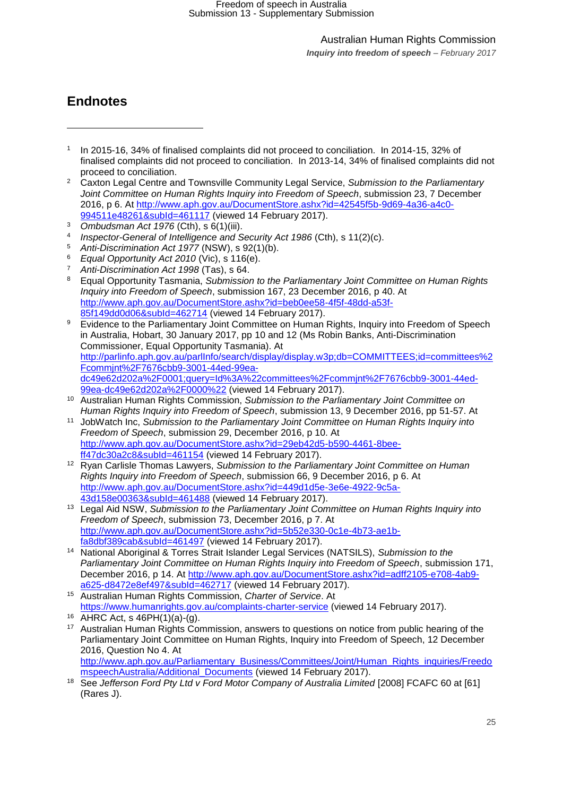Australian Human Rights Commission

*Inquiry into freedom of speech – February 2017*

## **Endnotes**

 $\overline{a}$ 

- <sup>2</sup> Caxton Legal Centre and Townsville Community Legal Service, *Submission to the Parliamentary Joint Committee on Human Rights Inquiry into Freedom of Speech*, submission 23, 7 December 2016, p 6. At [http://www.aph.gov.au/DocumentStore.ashx?id=42545f5b-9d69-4a36-a4c0-](http://www.aph.gov.au/DocumentStore.ashx?id=42545f5b-9d69-4a36-a4c0-994511e48261&subId=461117) [994511e48261&subId=461117](http://www.aph.gov.au/DocumentStore.ashx?id=42545f5b-9d69-4a36-a4c0-994511e48261&subId=461117) (viewed 14 February 2017).
- <sup>3</sup> *Ombudsman Act 1976* (Cth), s 6(1)(iii).
- 4 *Inspector-General of Intelligence and Security Act 1986* (Cth), s 11(2)(c).
- <sup>5</sup> *Anti-Discrimination Act 1977* (NSW), s 92(1)(b).
- <sup>6</sup> *Equal Opportunity Act 2010* (Vic), s<sup>116</sup>(e).
- <sup>7</sup> *Anti-Discrimination Act 1998* (Tas), s 64.
- <sup>8</sup> Equal Opportunity Tasmania, *Submission to the Parliamentary Joint Committee on Human Rights Inquiry into Freedom of Speech*, submission 167, 23 December 2016, p 40. At [http://www.aph.gov.au/DocumentStore.ashx?id=beb0ee58-4f5f-48dd-a53f-](http://www.aph.gov.au/DocumentStore.ashx?id=beb0ee58-4f5f-48dd-a53f-85f149dd0d06&subId=462714)[85f149dd0d06&subId=462714](http://www.aph.gov.au/DocumentStore.ashx?id=beb0ee58-4f5f-48dd-a53f-85f149dd0d06&subId=462714) (viewed 14 February 2017).
- <sup>9</sup> Evidence to the Parliamentary Joint Committee on Human Rights, Inquiry into Freedom of Speech in Australia, Hobart, 30 January 2017, pp 10 and 12 (Ms Robin Banks, Anti-Discrimination Commissioner, Equal Opportunity Tasmania). At [http://parlinfo.aph.gov.au/parlInfo/search/display/display.w3p;db=COMMITTEES;id=committees%2](http://parlinfo.aph.gov.au/parlInfo/search/display/display.w3p;db=COMMITTEES;id=committees%2Fcommjnt%2F7676cbb9-3001-44ed-99ea-dc49e62d202a%2F0001;query=Id%3A%22committees%2Fcommjnt%2F7676cbb9-3001-44ed-99ea-dc49e62d202a%2F0000%22) [Fcommjnt%2F7676cbb9-3001-44ed-99ea](http://parlinfo.aph.gov.au/parlInfo/search/display/display.w3p;db=COMMITTEES;id=committees%2Fcommjnt%2F7676cbb9-3001-44ed-99ea-dc49e62d202a%2F0001;query=Id%3A%22committees%2Fcommjnt%2F7676cbb9-3001-44ed-99ea-dc49e62d202a%2F0000%22)[dc49e62d202a%2F0001;query=Id%3A%22committees%2Fcommjnt%2F7676cbb9-3001-44ed-](http://parlinfo.aph.gov.au/parlInfo/search/display/display.w3p;db=COMMITTEES;id=committees%2Fcommjnt%2F7676cbb9-3001-44ed-99ea-dc49e62d202a%2F0001;query=Id%3A%22committees%2Fcommjnt%2F7676cbb9-3001-44ed-99ea-dc49e62d202a%2F0000%22)[99ea-dc49e62d202a%2F0000%22](http://parlinfo.aph.gov.au/parlInfo/search/display/display.w3p;db=COMMITTEES;id=committees%2Fcommjnt%2F7676cbb9-3001-44ed-99ea-dc49e62d202a%2F0001;query=Id%3A%22committees%2Fcommjnt%2F7676cbb9-3001-44ed-99ea-dc49e62d202a%2F0000%22) (viewed 14 February 2017).
- <sup>10</sup> Australian Human Rights Commission, *Submission to the Parliamentary Joint Committee on Human Rights Inquiry into Freedom of Speech*, submission 13, 9 December 2016, pp 51-57. At
- <sup>11</sup> JobWatch Inc, *Submission to the Parliamentary Joint Committee on Human Rights Inquiry into Freedom of Speech*, submission 29, December 2016, p 10. At [http://www.aph.gov.au/DocumentStore.ashx?id=29eb42d5-b590-4461-8bee](http://www.aph.gov.au/DocumentStore.ashx?id=29eb42d5-b590-4461-8bee-ff47dc30a2c8&subId=461154)[ff47dc30a2c8&subId=461154](http://www.aph.gov.au/DocumentStore.ashx?id=29eb42d5-b590-4461-8bee-ff47dc30a2c8&subId=461154) (viewed 14 February 2017).
- <sup>12</sup> Ryan Carlisle Thomas Lawyers, *Submission to the Parliamentary Joint Committee on Human Rights Inquiry into Freedom of Speech*, submission 66, 9 December 2016, p 6. At [http://www.aph.gov.au/DocumentStore.ashx?id=449d1d5e-3e6e-4922-9c5a-](http://www.aph.gov.au/DocumentStore.ashx?id=449d1d5e-3e6e-4922-9c5a-43d158e00363&subId=461488)[43d158e00363&subId=461488](http://www.aph.gov.au/DocumentStore.ashx?id=449d1d5e-3e6e-4922-9c5a-43d158e00363&subId=461488) (viewed 14 February 2017).
- <sup>13</sup> Legal Aid NSW, *Submission to the Parliamentary Joint Committee on Human Rights Inquiry into Freedom of Speech*, submission 73, December 2016, p 7. At [http://www.aph.gov.au/DocumentStore.ashx?id=5b52e330-0c1e-4b73-ae1b](http://www.aph.gov.au/DocumentStore.ashx?id=5b52e330-0c1e-4b73-ae1b-fa8dbf389cab&subId=461497)[fa8dbf389cab&subId=461497](http://www.aph.gov.au/DocumentStore.ashx?id=5b52e330-0c1e-4b73-ae1b-fa8dbf389cab&subId=461497) (viewed 14 February 2017).
- <sup>14</sup> National Aboriginal & Torres Strait Islander Legal Services (NATSILS), *Submission to the Parliamentary Joint Committee on Human Rights Inquiry into Freedom of Speech*, submission 171, December 2016, p 14. At [http://www.aph.gov.au/DocumentStore.ashx?id=adff2105-e708-4ab9](http://www.aph.gov.au/DocumentStore.ashx?id=adff2105-e708-4ab9-a625-d8472e8ef497&subId=462717) [a625-d8472e8ef497&subId=462717](http://www.aph.gov.au/DocumentStore.ashx?id=adff2105-e708-4ab9-a625-d8472e8ef497&subId=462717) (viewed 14 February 2017).
- <sup>15</sup> Australian Human Rights Commission, *Charter of Service*. At <https://www.humanrights.gov.au/complaints-charter-service> (viewed 14 February 2017).
- 16 AHRC Act, s  $46PH(1)(a)-(q)$ .
- <sup>17</sup> Australian Human Rights Commission, answers to questions on notice from public hearing of the Parliamentary Joint Committee on Human Rights, Inquiry into Freedom of Speech, 12 December 2016, Question No 4. At
- [http://www.aph.gov.au/Parliamentary\\_Business/Committees/Joint/Human\\_Rights\\_inquiries/Freedo](http://www.aph.gov.au/Parliamentary_Business/Committees/Joint/Human_Rights_inquiries/FreedomspeechAustralia/Additional_Documents) [mspeechAustralia/Additional\\_Documents](http://www.aph.gov.au/Parliamentary_Business/Committees/Joint/Human_Rights_inquiries/FreedomspeechAustralia/Additional_Documents) (viewed 14 February 2017).
- <sup>18</sup> See *Jefferson Ford Pty Ltd v Ford Motor Company of Australia Limited* [2008] FCAFC 60 at [61] (Rares J).

<sup>1</sup> In 2015-16, 34% of finalised complaints did not proceed to conciliation. In 2014-15, 32% of finalised complaints did not proceed to conciliation. In 2013-14, 34% of finalised complaints did not proceed to conciliation.